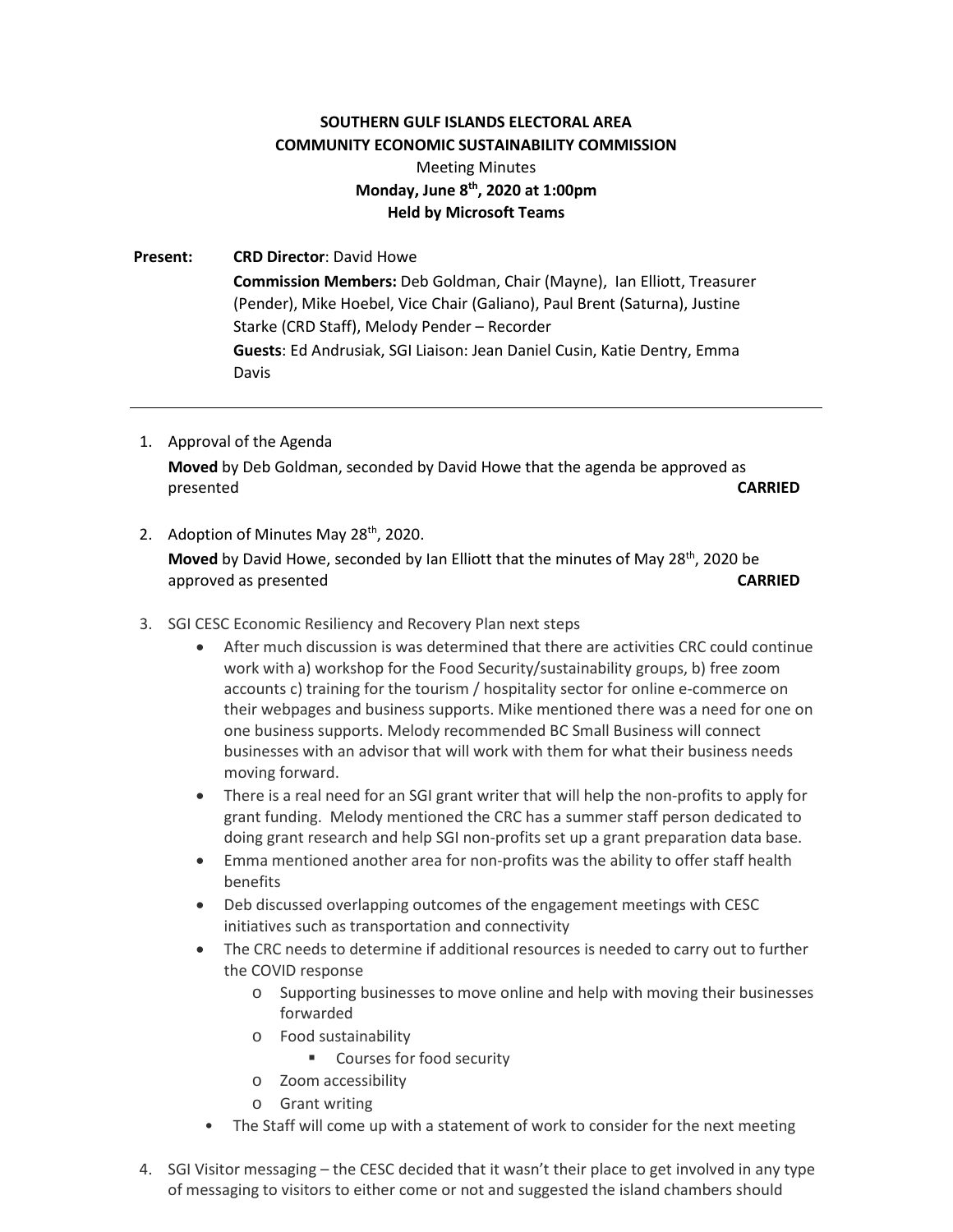## **SOUTHERN GULF ISLANDS ELECTORAL AREA COMMUNITY ECONOMIC SUSTAINABILITY COMMISSION**

## Meeting Minutes **Monday, June 8th, 2020 at 1:00pm Held by Microsoft Teams**

**Present: CRD Director**: David Howe **Commission Members:** Deb Goldman, Chair (Mayne), Ian Elliott, Treasurer (Pender), Mike Hoebel, Vice Chair (Galiano), Paul Brent (Saturna), Justine Starke (CRD Staff), Melody Pender – Recorder **Guests**: Ed Andrusiak, SGI Liaison: Jean Daniel Cusin, Katie Dentry, Emma Davis

- 1. Approval of the Agenda **Moved** by Deb Goldman, seconded by David Howe that the agenda be approved as presented **CARRIED**
- 2. Adoption of Minutes May 28<sup>th</sup>, 2020. **Moved** by David Howe, seconded by Ian Elliott that the minutes of May 28<sup>th</sup>, 2020 be approved as presented **CARRIED**
- 3. SGI CESC Economic Resiliency and Recovery Plan next steps
	- After much discussion is was determined that there are activities CRC could continue work with a) workshop for the Food Security/sustainability groups, b) free zoom accounts c) training for the tourism / hospitality sector for online e-commerce on their webpages and business supports. Mike mentioned there was a need for one on one business supports. Melody recommended BC Small Business will connect businesses with an advisor that will work with them for what their business needs moving forward.
	- There is a real need for an SGI grant writer that will help the non-profits to apply for grant funding. Melody mentioned the CRC has a summer staff person dedicated to doing grant research and help SGI non-profits set up a grant preparation data base.
	- Emma mentioned another area for non-profits was the ability to offer staff health benefits
	- Deb discussed overlapping outcomes of the engagement meetings with CESC initiatives such as transportation and connectivity
	- The CRC needs to determine if additional resources is needed to carry out to further the COVID response
		- o Supporting businesses to move online and help with moving their businesses forwarded
		- o Food sustainability
			- **EXECOURSES FOR SECUTE SECUTE SECUTE**
		- o Zoom accessibility
		- o Grant writing
		- The Staff will come up with a statement of work to consider for the next meeting
- 4. SGI Visitor messaging the CESC decided that it wasn't their place to get involved in any type of messaging to visitors to either come or not and suggested the island chambers should